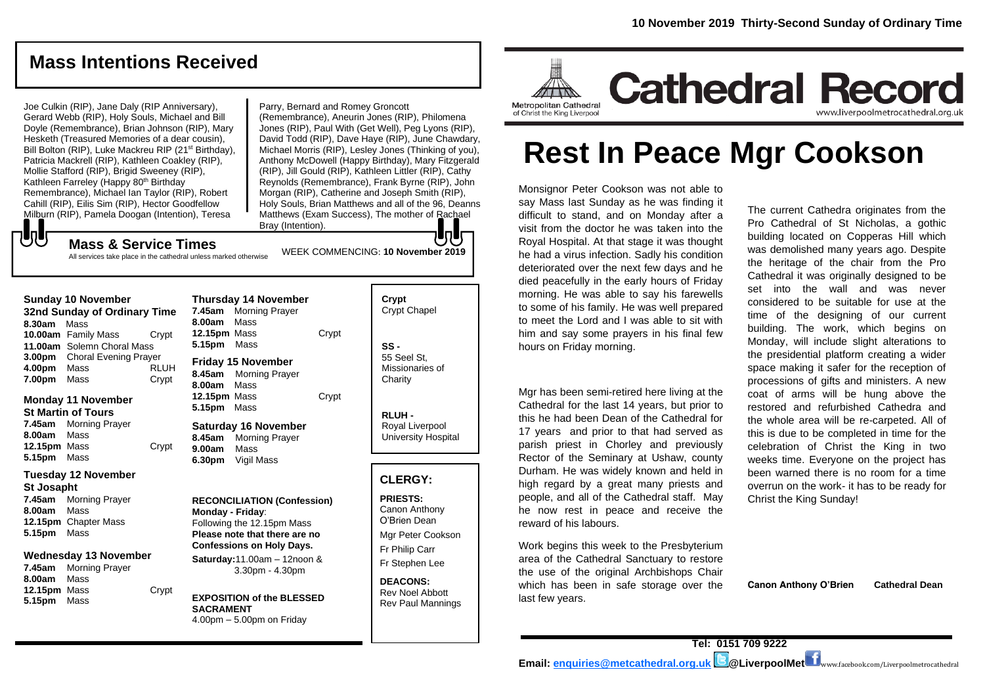# **Mass Intentions Received**

Joe Culkin (RIP), Jane Daly (RIP Anniversary), Gerard Webb (RIP), Holy Souls, Michael and Bill Doyle (Remembrance), Brian Johnson (RIP), Mary Hesketh (Treasured Memories of a dear cousin), Bill Bolton (RIP), Luke Mackreu RIP (21<sup>st</sup> Birthday), Patricia Mackrell (RIP), Kathleen Coakley (RIP), Mollie Stafford (RIP), Brigid Sweeney (RIP), Kathleen Farreley (Happy 80<sup>th</sup> Birthday Remembrance), Michael Ian Taylor (RIP), Robert Cahill (RIP), Eilis Sim (RIP), Hector Goodfellow Milburn (RIP), Pamela Doogan (Intention), Teresa

Parry, Bernard and Romey Groncott

(Remembrance), Aneurin Jones (RIP), Philomena Jones (RIP), Paul With (Get Well), Peg Lyons (RIP), David Todd (RIP), Dave Haye (RIP), June Chawdary, Michael Morris (RIP), Lesley Jones (Thinking of you), Anthony McDowell (Happy Birthday), Mary Fitzgerald (RIP), Jill Gould (RIP), Kathleen Littler (RIP), Cathy Reynolds (Remembrance), Frank Byrne (RIP), John Morgan (RIP), Catherine and Joseph Smith (RIP), Holy Souls, Brian Matthews and all of the 96, Deanns Matthews (Exam Success), The mother of Rachael Bray (Intention).

WEEK COMMENCING: **10 November 2019**

**Mass & Service Times**

All services take place in the cathedral unless marked otherwise

| <b>Sunday 10 November</b>    |                              |             |  |
|------------------------------|------------------------------|-------------|--|
| 32nd Sunday of Ordinary Time |                              |             |  |
| 8.30am                       | Mass                         |             |  |
|                              | 10.00am Family Mass          | Crypt       |  |
|                              | 11.00am Solemn Choral Mass   |             |  |
| 3.00pm                       | <b>Choral Evening Prayer</b> |             |  |
| 4.00pm                       | Mass                         | <b>RLUH</b> |  |
| 7.00pm                       | Mass                         | Crvpt       |  |

もし

#### **Monday 11 November St Martin of Tours 7.45am** Morning Prayer **8.00am** Mass **12.15pm** Mass Crypt

#### **5.15pm** Mass **Tuesday 12 November St Josapht**

**7.45am** Morning Prayer **8.00am** Mass **12.15pm** Chapter Mass **5.15pm** Mass

#### **Wednesday 13 November**

**7.45am** Morning Prayer **8.00am** Mass 12.15pm Mass Crypt **5.15pm** Mass

| <b>Thursday 14 November</b> |                       |       |  |
|-----------------------------|-----------------------|-------|--|
| 7.45am                      | <b>Morning Prayer</b> |       |  |
| 8.00am Mass                 |                       |       |  |
| 12.15pm Mass                |                       | Crypt |  |
| 5.15pm Mass                 |                       |       |  |
| <b>Friday 15 November</b>   |                       |       |  |
|                             | 8.45am Morning Prayer |       |  |
| 8.00am Mass                 |                       |       |  |
| 12.15pm Mass                |                       | Crypt |  |
| 5.15pm Mass                 |                       |       |  |
| <b>Saturday 16 November</b> |                       |       |  |
| 8.45am                      | <b>Morning Prayer</b> |       |  |
| 9.00am Mass                 |                       |       |  |
|                             | 6.30pm Vigil Mass     |       |  |
|                             |                       |       |  |

**RECONCILIATION (Confession) Monday - Friday**: Following the 12.15pm Mass **Please note that there are no Confessions on Holy Days. Saturday:**11.00am – 12noon &

3.30pm - 4.30pm

**EXPOSITION of the BLESSED SACRAMENT** 4.00pm – 5.00pm on Friday

**Crypt**  Crypt Chapel **SS -** 55 Seel St, Missionaries of **Charity** 

Jule

**RLUH -** Royal Liverpool University Hospital

#### **CLERGY:**

**PRIESTS:** Canon Anthony O'Brien *Dean* Mgr Peter Cookson Fr Philip Carr Fr Stephen Lee

**DEACONS:** Rev Noel Abbott Rev Paul Mannings



# **Rest In Peace Mgr Cookson**

Monsignor Peter Cookson was not able to say Mass last Sunday as he was finding it difficult to stand, and on Monday after a visit from the doctor he was taken into the Royal Hospital. At that stage it was thought he had a virus infection. Sadly his condition deteriorated over the next few days and he died peacefully in the early hours of Friday morning. He was able to say his farewells to some of his family. He was well prepared to meet the Lord and I was able to sit with him and say some prayers in his final few hours on Friday morning.

Mgr has been semi-retired here living at the Cathedral for the last 14 years, but prior to this he had been Dean of the Cathedral for 17 years and prior to that had served as parish priest in Chorley and previously Rector of the Seminary at Ushaw, county Durham. He was widely known and held in high regard by a great many priests and people, and all of the Cathedral staff. May he now rest in peace and receive the reward of his labours.

Work begins this week to the Presbyterium area of the Cathedral Sanctuary to restore the use of the original Archbishops Chair which has been in safe storage over the last few years.

The current Cathedra originates from the Pro Cathedral of St Nicholas, a gothic building located on Copperas Hill which was demolished many years ago. Despite the heritage of the chair from the Pro Cathedral it was originally designed to be set into the wall and was never considered to be suitable for use at the time of the designing of our current building. The work, which begins on Monday, will include slight alterations to the presidential platform creating a wider space making it safer for the reception of processions of gifts and ministers. A new coat of arms will be hung above the restored and refurbished Cathedra and the whole area will be re-carpeted. All of this is due to be completed in time for the celebration of Christ the King in two weeks time. Everyone on the project has been warned there is no room for a time overrun on the work- it has to be ready for Christ the King Sunday!

**Canon Anthony O'Brien Cathedral Dean**